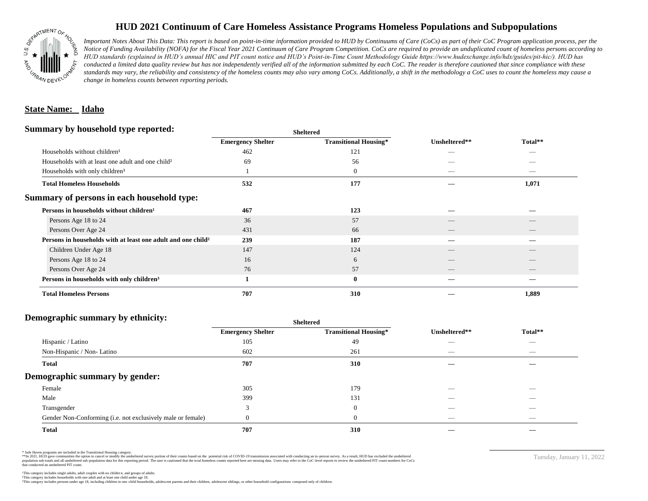

# **HUD 2021 Continuum of Care Homeless Assistance Programs Homeless Populations and Subpopulations**

*Important Notes About This Data: This report is based on point-in-time information provided to HUD by Continuums of Care (CoCs) as part of their CoC Program application process, per the Notice of Funding Availability (NOFA) for the Fiscal Year 2021 Continuum of Care Program Competition. CoCs are required to provide an unduplicated count of homeless persons according to HUD standards (explained in HUD's annual HIC and PIT count notice and HUD's Point-in-Time Count Methodology Guide https://www.hudexchange.info/hdx/guides/pit-hic/). HUD has*  conducted a limited data quality review but has not independently verified all of the information submitted by each CoC. The reader is therefore cautioned that since compliance with these standards may vary, the reliability and consistency of the homeless counts may also vary among CoCs. Additionally, a shift in the methodology a CoC uses to count the homeless may cause a *change in homeless counts between reporting periods.*

### **State Name: Idaho**

#### **Summary by household type reported:**

| <b>Emergency Shelter</b> | <b>Transitional Housing*</b> | Unsheltered** | Total** |
|--------------------------|------------------------------|---------------|---------|
| 462                      | 121                          | _             |         |
| 69                       | 56                           |               |         |
|                          | $\boldsymbol{0}$             |               | _       |
| 532                      | 177                          |               | 1,071   |
|                          |                              |               |         |
| 467                      | 123                          |               |         |
| 36                       | 57                           |               |         |
| 431                      | 66                           |               |         |
| 239                      | 187                          |               |         |
| 147                      | 124                          |               |         |
| 16                       | 6                            |               |         |
| 76                       | 57                           |               | __      |
|                          | $\mathbf{0}$                 |               |         |
| 707                      | 310                          |               | 1,889   |
|                          |                              | patter        |         |

**Sheltered**

## **Demographic summary by ethnicity:**

|                                                             | <b>Sheltered</b>         |                              |                          |                          |  |
|-------------------------------------------------------------|--------------------------|------------------------------|--------------------------|--------------------------|--|
|                                                             | <b>Emergency Shelter</b> | <b>Transitional Housing*</b> | Unsheltered**            | Total**                  |  |
| Hispanic / Latino                                           | 105                      | 49                           |                          | $\overline{\phantom{a}}$ |  |
| Non-Hispanic / Non-Latino                                   | 602                      | 261                          | __                       | $\overline{\phantom{a}}$ |  |
| <b>Total</b>                                                | 707                      | 310                          |                          |                          |  |
| Demographic summary by gender:                              |                          |                              |                          |                          |  |
| Female                                                      | 305                      | 179                          | _                        | _                        |  |
| Male                                                        | 399                      | 131                          |                          |                          |  |
| Transgender                                                 | $\mathbf{\overline{3}}$  | $\overline{0}$               |                          |                          |  |
| Gender Non-Conforming (i.e. not exclusively male or female) |                          | $\theta$                     | $\overline{\phantom{a}}$ | $\overline{\phantom{a}}$ |  |
| <b>Total</b>                                                | 707                      | 310                          |                          |                          |  |

\* Safe Haven programs are included in the Transitional Housing category.

\*\*In 2021, HUD gave communities the option to cancel or modify the unsheltered survey portion of their counts based on the potential risk of COVID-19 transmission associated with conducting an in-person survey. As a result n political data for this reporting period. The user is cautioned that the total homeless counts reported here are missing data. Users may refer to the CoC-level reports to review the unshellered PIT count numbers for CoCs that conducted an unsheltered PIT count.

Tuesday, January 11, 2022